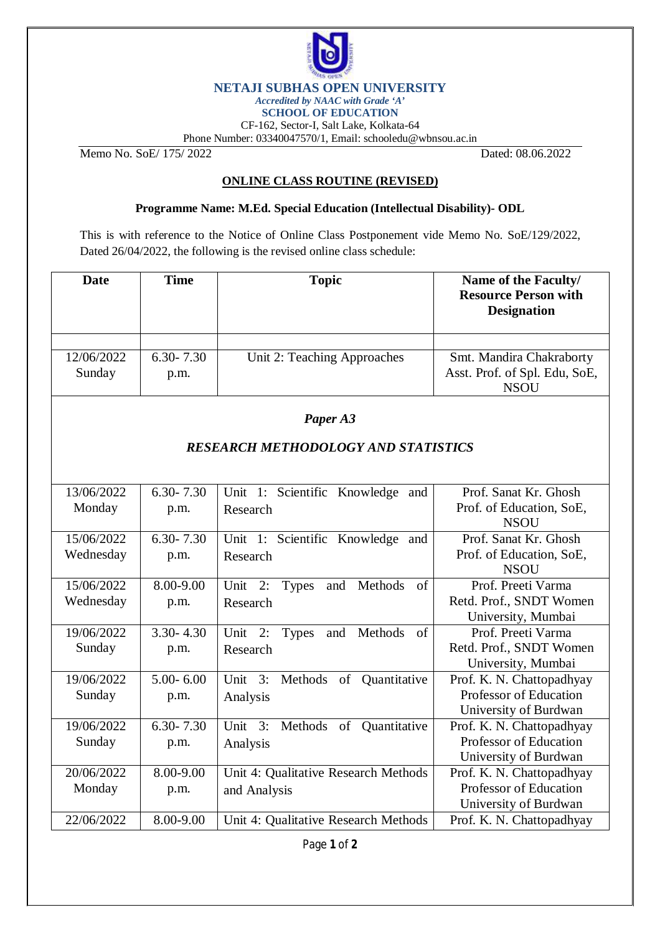

## **NETAJI SUBHAS OPEN UNIVERSITY**

*Accredited by NAAC with Grade 'A'*

**SCHOOL OF EDUCATION**

CF-162, Sector-I, Salt Lake, Kolkata-64 Phone Number: 03340047570/1, Email: [schooledu@wbnsou.ac.in](mailto:schooledu@wbnsou.ac.in)

Memo No. SoE/ 175/ 2022 Dated: 08.06.2022

## **ONLINE CLASS ROUTINE (REVISED)**

## **Programme Name: M.Ed. Special Education (Intellectual Disability)- ODL**

This is with reference to the Notice of Online Class Postponement vide Memo No. SoE/129/2022, Dated 26/04/2022, the following is the revised online class schedule:

| <b>Date</b>                                | <b>Time</b>           | <b>Topic</b>                                                | Name of the Faculty/<br><b>Resource Person with</b><br><b>Designation</b>    |  |
|--------------------------------------------|-----------------------|-------------------------------------------------------------|------------------------------------------------------------------------------|--|
| 12/06/2022<br>Sunday                       | $6.30 - 7.30$<br>p.m. | Unit 2: Teaching Approaches                                 | Smt. Mandira Chakraborty<br>Asst. Prof. of Spl. Edu, SoE,<br><b>NSOU</b>     |  |
| Paper A3                                   |                       |                                                             |                                                                              |  |
| <b>RESEARCH METHODOLOGY AND STATISTICS</b> |                       |                                                             |                                                                              |  |
| 13/06/2022<br>Monday                       | $6.30 - 7.30$<br>p.m. | Unit 1: Scientific Knowledge and<br>Research                | Prof. Sanat Kr. Ghosh<br>Prof. of Education, SoE,<br><b>NSOU</b>             |  |
| 15/06/2022<br>Wednesday                    | $6.30 - 7.30$<br>p.m. | Unit 1: Scientific Knowledge and<br>Research                | Prof. Sanat Kr. Ghosh<br>Prof. of Education, SoE,<br><b>NSOU</b>             |  |
| 15/06/2022<br>Wednesday                    | 8.00-9.00<br>p.m.     | Unit 2:<br>Methods<br>of<br><b>Types</b><br>and<br>Research | Prof. Preeti Varma<br>Retd. Prof., SNDT Women<br>University, Mumbai          |  |
| 19/06/2022<br>Sunday                       | $3.30 - 4.30$<br>p.m. | Methods<br>Unit 2:<br>and<br><b>Types</b><br>of<br>Research | Prof. Preeti Varma<br>Retd. Prof., SNDT Women<br>University, Mumbai          |  |
| 19/06/2022<br>Sunday                       | $5.00 - 6.00$<br>p.m. | Methods of Quantitative<br>Unit $3:$<br>Analysis            | Prof. K. N. Chattopadhyay<br>Professor of Education<br>University of Burdwan |  |
| 19/06/2022<br>Sunday                       | $6.30 - 7.30$<br>p.m. | Unit $3:$<br>Methods of Quantitative<br>Analysis            | Prof. K. N. Chattopadhyay<br>Professor of Education<br>University of Burdwan |  |
| 20/06/2022<br>Monday                       | 8.00-9.00<br>p.m.     | Unit 4: Qualitative Research Methods<br>and Analysis        | Prof. K. N. Chattopadhyay<br>Professor of Education<br>University of Burdwan |  |
| 22/06/2022                                 | 8.00-9.00             | Unit 4: Qualitative Research Methods                        | Prof. K. N. Chattopadhyay                                                    |  |

Page **1** of **2**